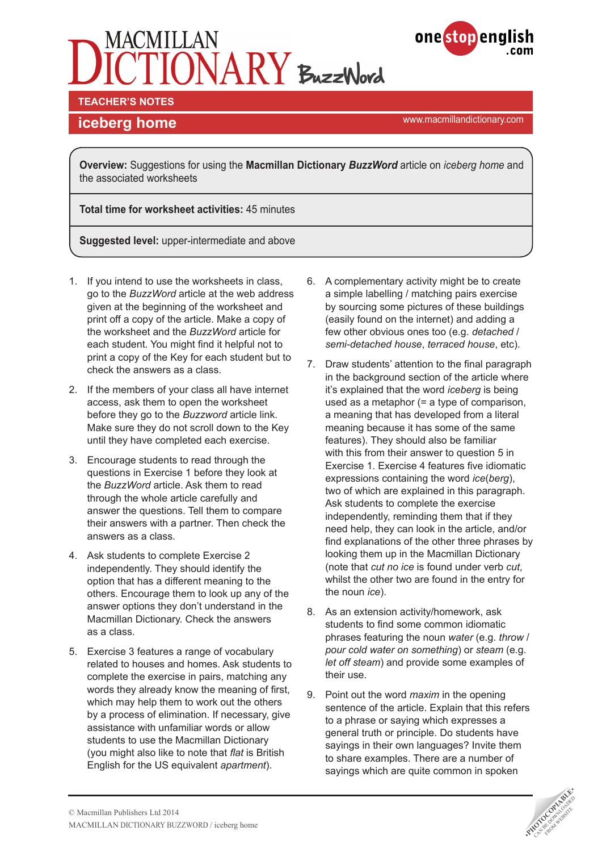



**TEACHER'S NOTES** 

# **iceberg home implementary.com iceberg home implementary.com**

**Overview:** Suggestions for using the **Macmillan Dictionary** *BuzzWord* article on *iceberg home* and the associated worksheets

**Total time for worksheet activities:** 45 minutes

**Suggested level:** upper-intermediate and above

- 1. If you intend to use the worksheets in class, go to the *BuzzWord* article at the web address given at the beginning of the worksheet and print off a copy of the article. Make a copy of the worksheet and the *BuzzWord* article for each student. You might find it helpful not to print a copy of the Key for each student but to check the answers as a class.
- 2. If the members of your class all have internet access, ask them to open the worksheet before they go to the *Buzzword* article link. Make sure they do not scroll down to the Key until they have completed each exercise.
- 3. Encourage students to read through the questions in Exercise 1 before they look at the *BuzzWord* article. Ask them to read through the whole article carefully and answer the questions. Tell them to compare their answers with a partner. Then check the answers as a class.
- 4. Ask students to complete Exercise 2 independently. They should identify the option that has a different meaning to the others. Encourage them to look up any of the answer options they don't understand in the Macmillan Dictionary. Check the answers as a class.
- 5. Exercise 3 features a range of vocabulary related to houses and homes. Ask students to complete the exercise in pairs, matching any words they already know the meaning of first, which may help them to work out the others by a process of elimination. If necessary, give assistance with unfamiliar words or allow students to use the Macmillan Dictionary (you might also like to note that *flat* is British English for the US equivalent *apartment*).
- 6. A complementary activity might be to create a simple labelling / matching pairs exercise by sourcing some pictures of these buildings (easily found on the internet) and adding a few other obvious ones too (e.g. *detached* / *semi-detached house*, *terraced house*, etc).
- 7. Draw students' attention to the final paragraph in the background section of the article where it's explained that the word *iceberg* is being used as a metaphor (= a type of comparison, a meaning that has developed from a literal meaning because it has some of the same features). They should also be familiar with this from their answer to question 5 in Exercise 1. Exercise 4 features five idiomatic expressions containing the word *ice*(*berg*), two of which are explained in this paragraph. Ask students to complete the exercise independently, reminding them that if they need help, they can look in the article, and/or find explanations of the other three phrases by looking them up in the Macmillan Dictionary (note that *cut no ice* is found under verb *cut*, whilst the other two are found in the entry for the noun *ice*).
- 8. As an extension activity/homework, ask students to find some common idiomatic phrases featuring the noun *water* (e.g. *throw* / *pour cold water on something*) or *steam* (e.g. *let off steam*) and provide some examples of their use.
- 9. Point out the word *maxim* in the opening sentence of the article. Explain that this refers to a phrase or saying which expresses a general truth or principle. Do students have sayings in their own languages? Invite them to share examples. There are a number of sayings which are quite common in spoken

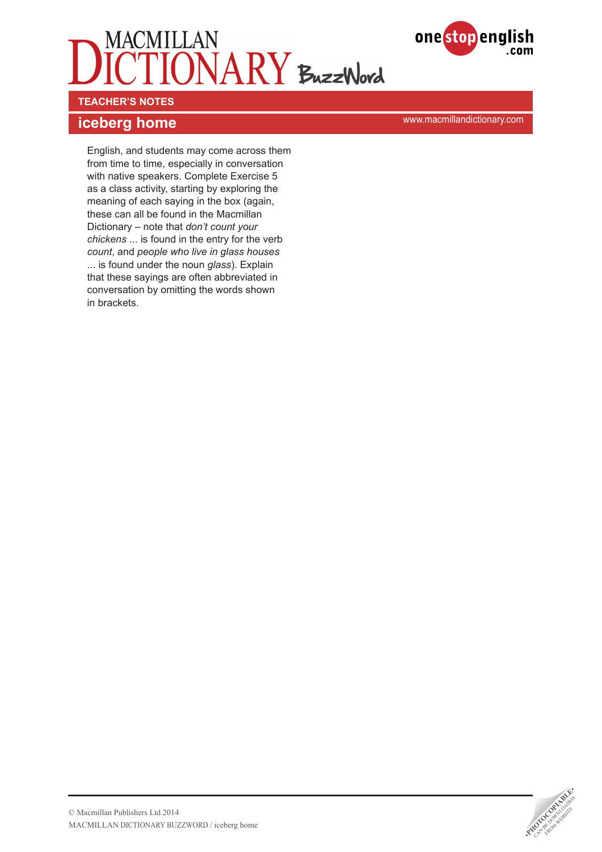



**TEACHER'S NOTES** 

# **iceberg home implementary.com iceberg home implementary.com**

English, and students may come across them from time to time, especially in conversation with native speakers. Complete Exercise 5 as a class activity, starting by exploring the meaning of each saying in the box (again, these can all be found in the Macmillan Dictionary – note that *don't count your chickens* ... is found in the entry for the verb *count*, and *people who live in glass houses*  ... is found under the noun *glass*). Explain that these sayings are often abbreviated in conversation by omitting the words shown in brackets.

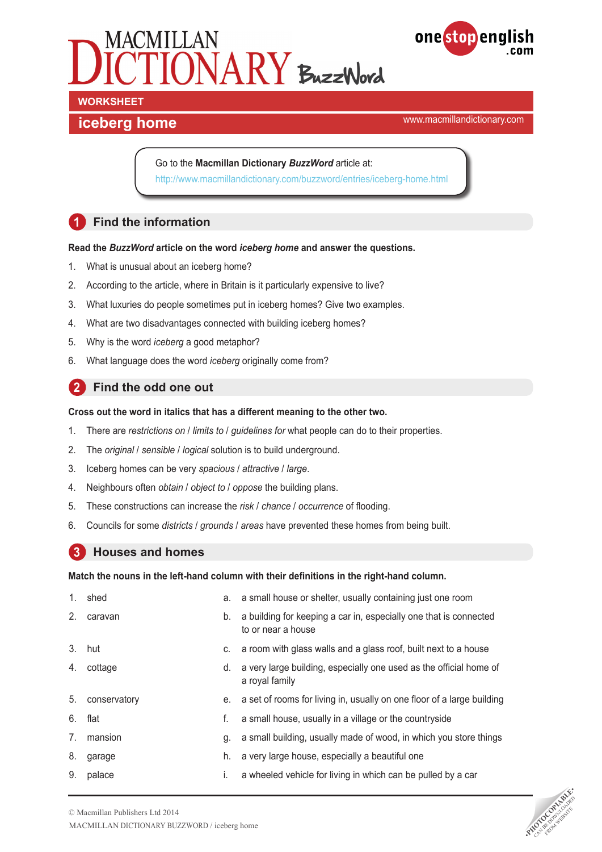



# **WORKSHEET**

## **iceberg home implementary.com iceberg home implementary.com**

Go to the **Macmillan Dictionary** *BuzzWord* article at: <http://www.macmillandictionary.com/buzzword/entries/iceberg-home.html>

## **1 Find the information**

### **Read the** *BuzzWord* **article on the word** *iceberg home* **and answer the questions.**

- 1. What is unusual about an iceberg home?
- 2. According to the article, where in Britain is it particularly expensive to live?
- 3. What luxuries do people sometimes put in iceberg homes? Give two examples.
- 4. What are two disadvantages connected with building iceberg homes?
- 5. Why is the word *iceberg* a good metaphor?
- 6. What language does the word *iceberg* originally come from?

### **2 Find the odd one out**

### **Cross out the word in italics that has a different meaning to the other two.**

- 1. There are *restrictions on* / *limits to* / *guidelines for* what people can do to their properties.
- 2. The *original* / *sensible* / *logical* solution is to build underground.
- 3. Iceberg homes can be very *spacious* / *attractive* / *large*.
- 4. Neighbours often *obtain* / *object to* / *oppose* the building plans.
- 5. These constructions can increase the *risk* / *chance* / *occurrence* of flooding.
- 6. Councils for some *districts* / *grounds* / *areas* have prevented these homes from being built.

### **3 Houses and homes**

### **Match the nouns in the left-hand column with their definitions in the right-hand column.**

| 1.             | shed         | a. | a small house or shelter, usually containing just one room                              |
|----------------|--------------|----|-----------------------------------------------------------------------------------------|
| 2.             | caravan      | b. | a building for keeping a car in, especially one that is connected<br>to or near a house |
| 3 <sub>1</sub> | hut          |    | c. a room with glass walls and a glass roof, built next to a house                      |
| 4.             | cottage      | d. | a very large building, especially one used as the official home of<br>a royal family    |
| 5.             | conservatory |    | e. a set of rooms for living in, usually on one floor of a large building               |
| 6.             | flat         | f. | a small house, usually in a village or the countryside                                  |
| 7 <sub>1</sub> | mansion      | g. | a small building, usually made of wood, in which you store things                       |
| 8.             | garage       | h. | a very large house, especially a beautiful one                                          |
| 9.             | palace       | i. | a wheeled vehicle for living in which can be pulled by a car                            |

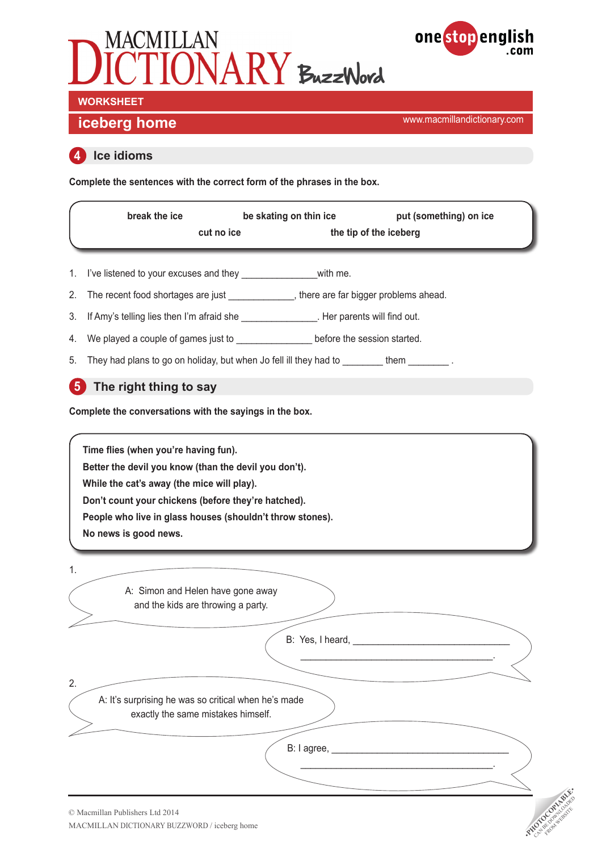



**iceberg home implementary.com in the set of the set of the set of the set of the set of the set of the set of the set of the set of the set of the set of the set of the set of the set of the set of the set of the set** 

### **4 Ice idioms**

**Complete the sentences with the correct form of the phrases in the box.**

|    | break the ice<br>cut no ice                                                                      | be skating on thin ice | put (something) on ice<br>the tip of the iceberg                                                                                                                                                                               |              |
|----|--------------------------------------------------------------------------------------------------|------------------------|--------------------------------------------------------------------------------------------------------------------------------------------------------------------------------------------------------------------------------|--------------|
| 1. | I've listened to your excuses and they _______________________with me.                           |                        |                                                                                                                                                                                                                                |              |
| 2. | The recent food shortages are just ______________, there are far bigger problems ahead.          |                        |                                                                                                                                                                                                                                |              |
| 3. | If Amy's telling lies then I'm afraid she ________________. Her parents will find out.           |                        |                                                                                                                                                                                                                                |              |
| 4. | We played a couple of games just to ____________________ before the session started.             |                        |                                                                                                                                                                                                                                |              |
| 5. | They had plans to go on holiday, but when Jo fell ill they had to _______them _______.           |                        |                                                                                                                                                                                                                                |              |
| -5 | The right thing to say                                                                           |                        |                                                                                                                                                                                                                                |              |
|    | Complete the conversations with the sayings in the box.                                          |                        |                                                                                                                                                                                                                                |              |
| 1. | No news is good news.<br>A: Simon and Helen have gone away<br>and the kids are throwing a party. |                        |                                                                                                                                                                                                                                |              |
|    |                                                                                                  |                        | B: Yes, I heard, Network and Security and Security and Security and Security and Security and Security and Security and Security and Security and Security and Security and Security and Security and Security and Security an |              |
| 2. | A: It's surprising he was so critical when he's made<br>exactly the same mistakes himself.       |                        |                                                                                                                                                                                                                                |              |
|    |                                                                                                  | B: I agree,            |                                                                                                                                                                                                                                |              |
|    |                                                                                                  |                        |                                                                                                                                                                                                                                | RADOCORANDAN |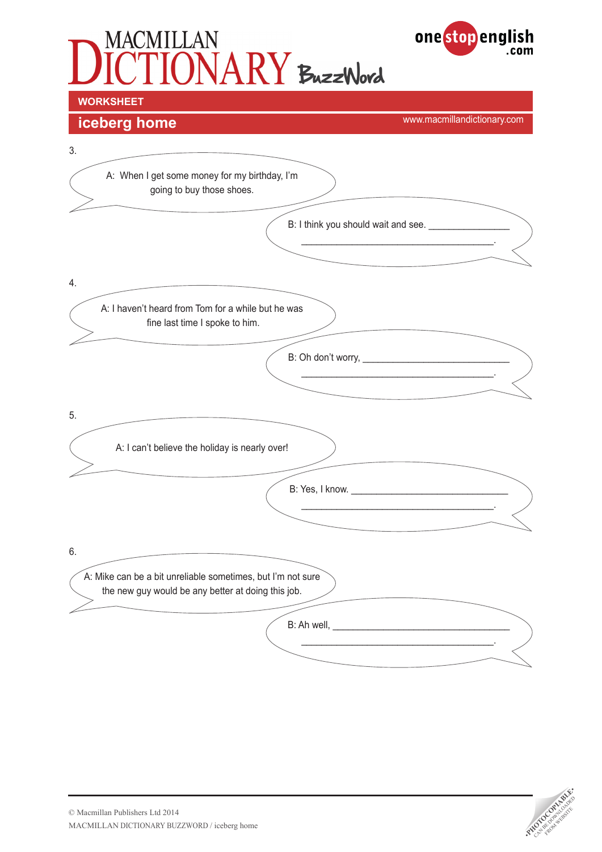# MACMILLAN<br>ICTIONARY BuzzWord onestopenglish **WORKSHEET**



**iceberg home implementary.com in the set of the set of the set of the set of the set of the set of the set of the set of the set of the set of the set of the set of the set of the set of the set of the set of the set** 

.com

| going to buy those shoes.                                                                                         |                                                   |  |
|-------------------------------------------------------------------------------------------------------------------|---------------------------------------------------|--|
|                                                                                                                   | B: I think you should wait and see. _____________ |  |
|                                                                                                                   |                                                   |  |
|                                                                                                                   |                                                   |  |
| A: I haven't heard from Tom for a while but he was<br>fine last time I spoke to him.                              |                                                   |  |
|                                                                                                                   |                                                   |  |
|                                                                                                                   |                                                   |  |
|                                                                                                                   |                                                   |  |
| A: I can't believe the holiday is nearly over!                                                                    |                                                   |  |
|                                                                                                                   |                                                   |  |
|                                                                                                                   |                                                   |  |
|                                                                                                                   |                                                   |  |
| A: Mike can be a bit unreliable sometimes, but I'm not sure<br>the new guy would be any better at doing this job. |                                                   |  |
|                                                                                                                   |                                                   |  |